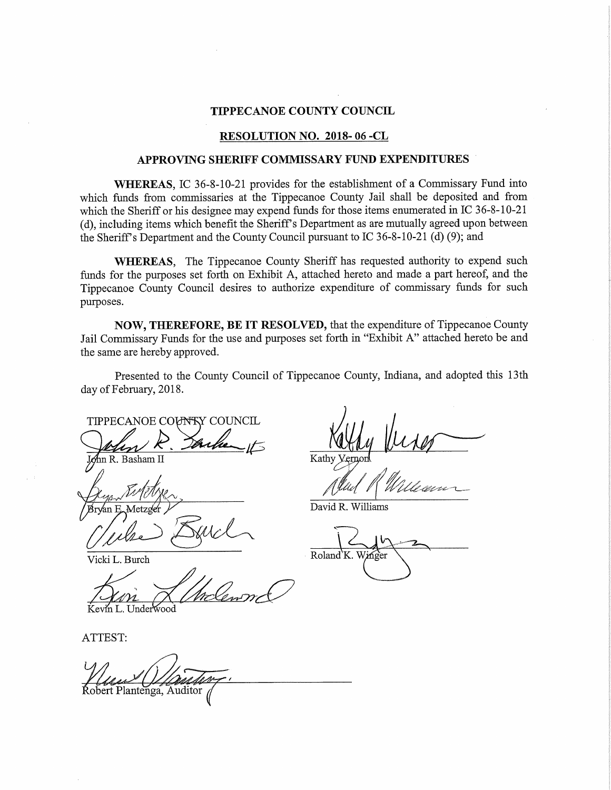#### TIPPECANOE COUNTY COUNCIL

#### RESOLUTION NO. 2018- 06 -CL

## APPROVING SHERIFF COMMISSARY FUND EXPENDITURES

WHEREAS, IC 36-8—10-21 provides for the establishment of <sup>a</sup> Commissary Fund into which funds from oommissaries at the Tippecanoe County Jail shall be deposited and from which the Sheriff or his designee may expend funds for those items enumerated in IC 36-8-10-21 (d), including items which benefit the Sheriff's Department as are mutually agreed upon between the Sheriff <sup>s</sup> Department and the County Council pursuant to IC 36—8—10-21 (d) (9); and

WHEREAS, The Tippecanoe County Sheriff has requested authority to expend such funds for the purposes set forth on Exhibit A, attached hereto and made a part hereof, and the Tippecanoe County Council desires to authorize expenditure of commissary funds for such purposes.

NOW, THEREFORE, BE IT RESOLVED, that the expenditure of Tippecanoe County Jail Commissary Funds for the use and purposes set forth in "Exhibit A" attached hereto be and the same are hereby approved.

Presented to the County Council of Tippecanoe County, Indiana, and adopted this 13th day of February, 2018.

TIPPECANOE COUNTRY COUNCIL  $\mathbb{R}$ . Basham II Kathy

I

Byer Fitcher, allad R William Bryan E Metzger  $\curvearrowright$  $\overline{\phantom{a}}$ 

Vicki L. Burch \* Roland'K.

m L. Underwood

ATTEST:

Robert Plantenga, Auditor

David R. Williams